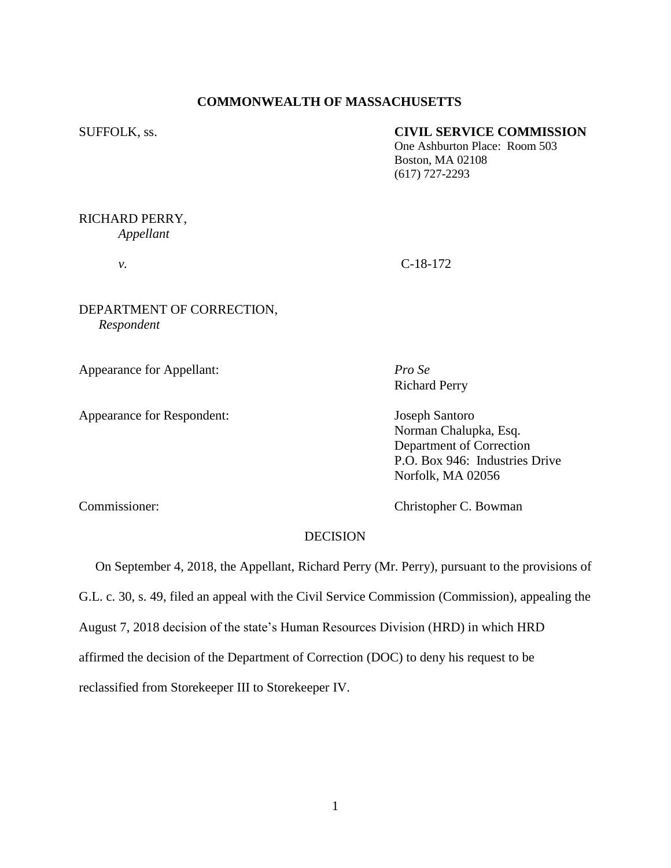## **COMMONWEALTH OF MASSACHUSETTS**

### SUFFOLK, ss. **CIVIL SERVICE COMMISSION**

One Ashburton Place: Room 503 Boston, MA 02108 (617) 727-2293

# RICHARD PERRY,

*Appellant*

# *v.* C-18-172

## DEPARTMENT OF CORRECTION, *Respondent*

Appearance for Appellant: *Pro Se*

Appearance for Respondent: Joseph Santoro

Richard Perry

Norman Chalupka, Esq. Department of Correction P.O. Box 946: Industries Drive Norfolk, MA 02056

Commissioner: Christopher C. Bowman

# DECISION

 On September 4, 2018, the Appellant, Richard Perry (Mr. Perry), pursuant to the provisions of G.L. c. 30, s. 49, filed an appeal with the Civil Service Commission (Commission), appealing the August 7, 2018 decision of the state's Human Resources Division (HRD) in which HRD affirmed the decision of the Department of Correction (DOC) to deny his request to be reclassified from Storekeeper III to Storekeeper IV.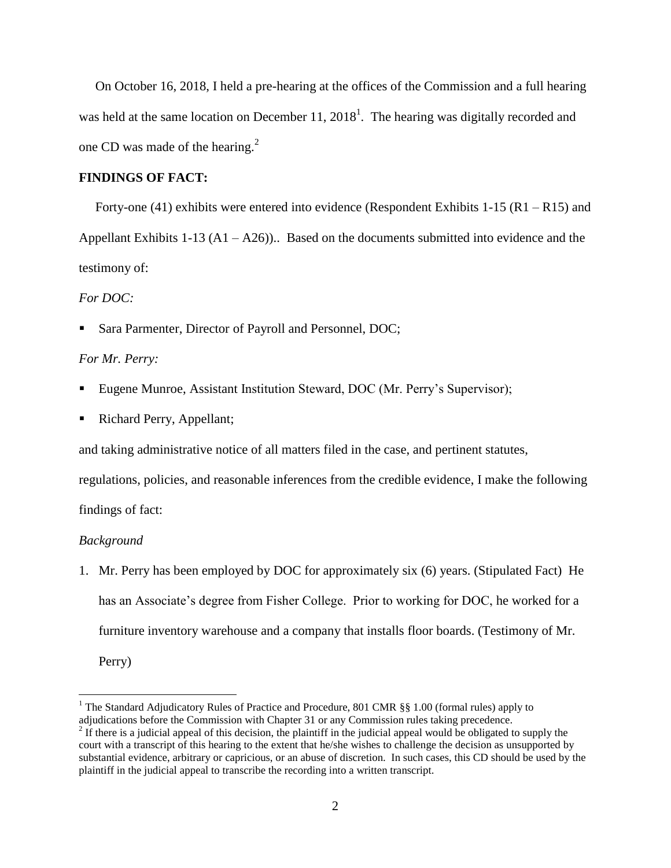On October 16, 2018, I held a pre-hearing at the offices of the Commission and a full hearing was held at the same location on December 11,  $2018<sup>1</sup>$ . The hearing was digitally recorded and one CD was made of the hearing. $2$ 

#### **FINDINGS OF FACT:**

 Forty-one (41) exhibits were entered into evidence (Respondent Exhibits 1-15 (R1 – R15) and Appellant Exhibits  $1-13(A1 - A26)$ . Based on the documents submitted into evidence and the testimony of:

#### *For DOC:*

Sara Parmenter, Director of Payroll and Personnel, DOC;

## *For Mr. Perry:*

- Eugene Munroe, Assistant Institution Steward, DOC (Mr. Perry's Supervisor);
- Richard Perry, Appellant;

and taking administrative notice of all matters filed in the case, and pertinent statutes,

regulations, policies, and reasonable inferences from the credible evidence, I make the following findings of fact:

#### *Background*

1. Mr. Perry has been employed by DOC for approximately six (6) years. (Stipulated Fact) He has an Associate's degree from Fisher College. Prior to working for DOC, he worked for a furniture inventory warehouse and a company that installs floor boards. (Testimony of Mr. Perry)

 $\overline{a}$ 

<sup>&</sup>lt;sup>1</sup> The Standard Adjudicatory Rules of Practice and Procedure, 801 CMR  $\S$ § 1.00 (formal rules) apply to adjudications before the Commission with Chapter 31 or any Commission rules taking precedence.

 $2<sup>2</sup>$  If there is a judicial appeal of this decision, the plaintiff in the judicial appeal would be obligated to supply the court with a transcript of this hearing to the extent that he/she wishes to challenge the decision as unsupported by substantial evidence, arbitrary or capricious, or an abuse of discretion. In such cases, this CD should be used by the plaintiff in the judicial appeal to transcribe the recording into a written transcript.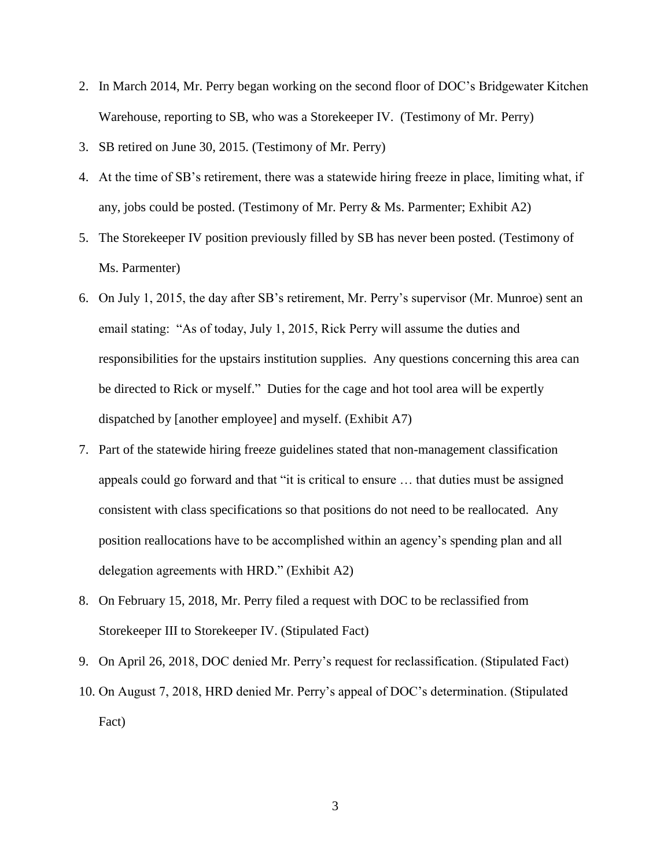- 2. In March 2014, Mr. Perry began working on the second floor of DOC's Bridgewater Kitchen Warehouse, reporting to SB, who was a Storekeeper IV. (Testimony of Mr. Perry)
- 3. SB retired on June 30, 2015. (Testimony of Mr. Perry)
- 4. At the time of SB's retirement, there was a statewide hiring freeze in place, limiting what, if any, jobs could be posted. (Testimony of Mr. Perry  $\&$  Ms. Parmenter; Exhibit A2)
- 5. The Storekeeper IV position previously filled by SB has never been posted. (Testimony of Ms. Parmenter)
- 6. On July 1, 2015, the day after SB's retirement, Mr. Perry's supervisor (Mr. Munroe) sent an email stating: "As of today, July 1, 2015, Rick Perry will assume the duties and responsibilities for the upstairs institution supplies. Any questions concerning this area can be directed to Rick or myself." Duties for the cage and hot tool area will be expertly dispatched by [another employee] and myself. (Exhibit A7)
- 7. Part of the statewide hiring freeze guidelines stated that non-management classification appeals could go forward and that "it is critical to ensure … that duties must be assigned consistent with class specifications so that positions do not need to be reallocated. Any position reallocations have to be accomplished within an agency's spending plan and all delegation agreements with HRD." (Exhibit A2)
- 8. On February 15, 2018, Mr. Perry filed a request with DOC to be reclassified from Storekeeper III to Storekeeper IV. (Stipulated Fact)
- 9. On April 26, 2018, DOC denied Mr. Perry's request for reclassification. (Stipulated Fact)
- 10. On August 7, 2018, HRD denied Mr. Perry's appeal of DOC's determination. (Stipulated Fact)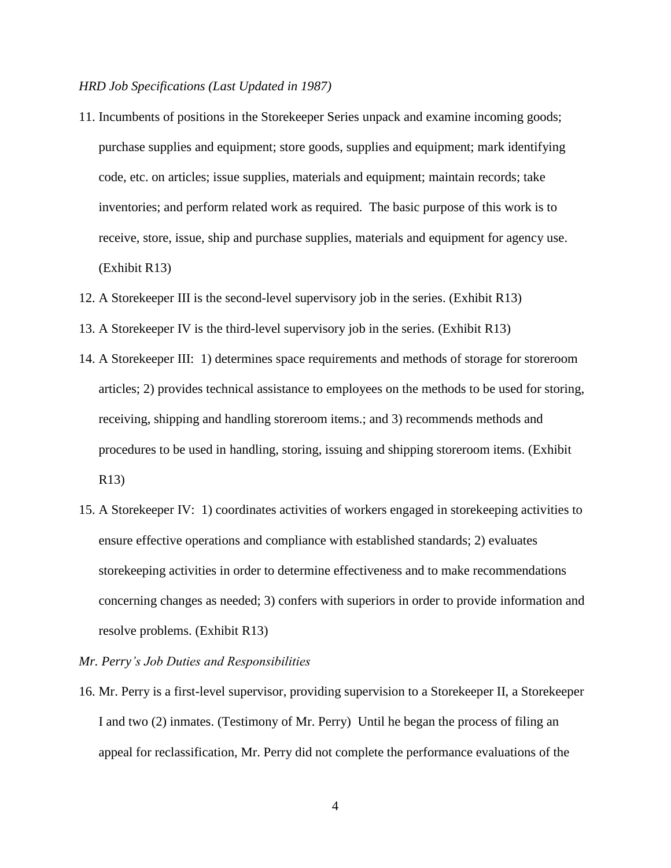### *HRD Job Specifications (Last Updated in 1987)*

- 11. Incumbents of positions in the Storekeeper Series unpack and examine incoming goods; purchase supplies and equipment; store goods, supplies and equipment; mark identifying code, etc. on articles; issue supplies, materials and equipment; maintain records; take inventories; and perform related work as required. The basic purpose of this work is to receive, store, issue, ship and purchase supplies, materials and equipment for agency use. (Exhibit R13)
- 12. A Storekeeper III is the second-level supervisory job in the series. (Exhibit R13)
- 13. A Storekeeper IV is the third-level supervisory job in the series. (Exhibit R13)
- 14. A Storekeeper III: 1) determines space requirements and methods of storage for storeroom articles; 2) provides technical assistance to employees on the methods to be used for storing, receiving, shipping and handling storeroom items.; and 3) recommends methods and procedures to be used in handling, storing, issuing and shipping storeroom items. (Exhibit R13)
- 15. A Storekeeper IV: 1) coordinates activities of workers engaged in storekeeping activities to ensure effective operations and compliance with established standards; 2) evaluates storekeeping activities in order to determine effectiveness and to make recommendations concerning changes as needed; 3) confers with superiors in order to provide information and resolve problems. (Exhibit R13)
- *Mr. Perry's Job Duties and Responsibilities*
- 16. Mr. Perry is a first-level supervisor, providing supervision to a Storekeeper II, a Storekeeper I and two (2) inmates. (Testimony of Mr. Perry) Until he began the process of filing an appeal for reclassification, Mr. Perry did not complete the performance evaluations of the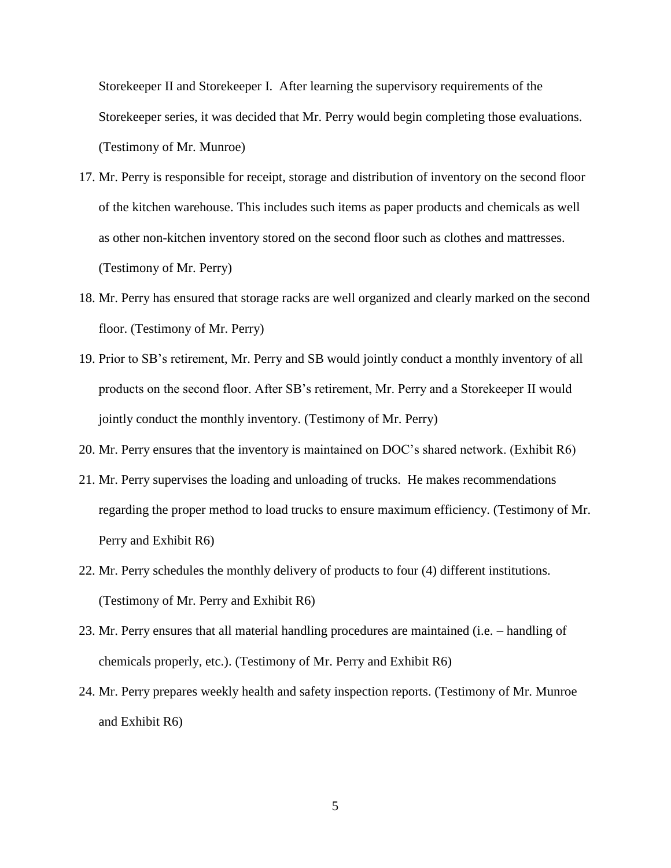Storekeeper II and Storekeeper I. After learning the supervisory requirements of the Storekeeper series, it was decided that Mr. Perry would begin completing those evaluations. (Testimony of Mr. Munroe)

- 17. Mr. Perry is responsible for receipt, storage and distribution of inventory on the second floor of the kitchen warehouse. This includes such items as paper products and chemicals as well as other non-kitchen inventory stored on the second floor such as clothes and mattresses. (Testimony of Mr. Perry)
- 18. Mr. Perry has ensured that storage racks are well organized and clearly marked on the second floor. (Testimony of Mr. Perry)
- 19. Prior to SB's retirement, Mr. Perry and SB would jointly conduct a monthly inventory of all products on the second floor. After SB's retirement, Mr. Perry and a Storekeeper II would jointly conduct the monthly inventory. (Testimony of Mr. Perry)
- 20. Mr. Perry ensures that the inventory is maintained on DOC's shared network. (Exhibit R6)
- 21. Mr. Perry supervises the loading and unloading of trucks. He makes recommendations regarding the proper method to load trucks to ensure maximum efficiency. (Testimony of Mr. Perry and Exhibit R6)
- 22. Mr. Perry schedules the monthly delivery of products to four (4) different institutions. (Testimony of Mr. Perry and Exhibit R6)
- 23. Mr. Perry ensures that all material handling procedures are maintained (i.e. handling of chemicals properly, etc.). (Testimony of Mr. Perry and Exhibit R6)
- 24. Mr. Perry prepares weekly health and safety inspection reports. (Testimony of Mr. Munroe and Exhibit R6)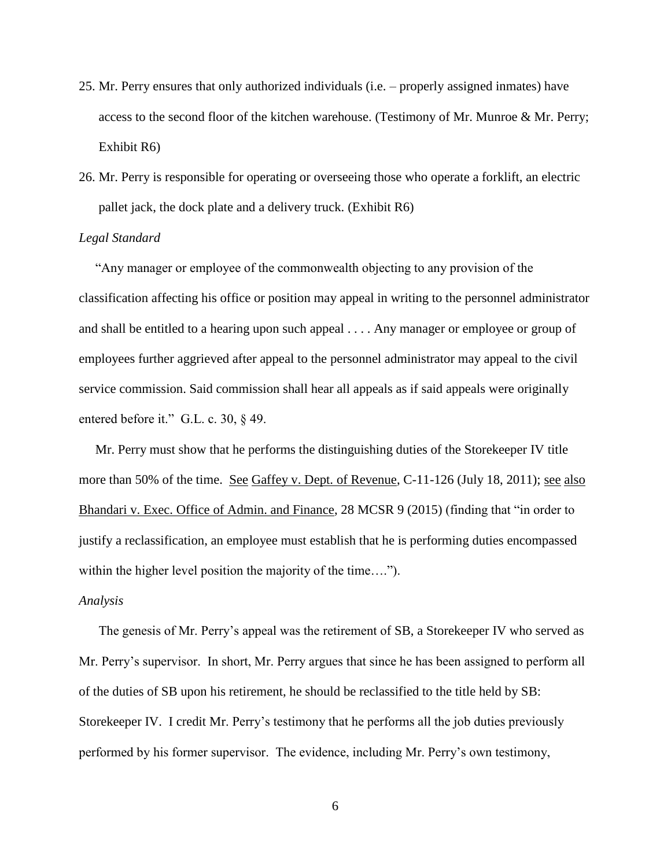- 25. Mr. Perry ensures that only authorized individuals (i.e. properly assigned inmates) have access to the second floor of the kitchen warehouse. (Testimony of Mr. Munroe & Mr. Perry; Exhibit R6)
- 26. Mr. Perry is responsible for operating or overseeing those who operate a forklift, an electric pallet jack, the dock plate and a delivery truck. (Exhibit R6)

### *Legal Standard*

"Any manager or employee of the commonwealth objecting to any provision of the classification affecting his office or position may appeal in writing to the personnel administrator and shall be entitled to a hearing upon such appeal . . . . Any manager or employee or group of employees further aggrieved after appeal to the personnel administrator may appeal to the civil service commission. Said commission shall hear all appeals as if said appeals were originally entered before it." G.L. c. 30, § 49.

 Mr. Perry must show that he performs the distinguishing duties of the Storekeeper IV title more than 50% of the time. See Gaffey v. Dept. of Revenue, C-11-126 (July 18, 2011); see also Bhandari v. Exec. Office of Admin. and Finance, 28 MCSR 9 (2015) (finding that "in order to justify a reclassification, an employee must establish that he is performing duties encompassed within the higher level position the majority of the time….").

#### *Analysis*

 The genesis of Mr. Perry's appeal was the retirement of SB, a Storekeeper IV who served as Mr. Perry's supervisor. In short, Mr. Perry argues that since he has been assigned to perform all of the duties of SB upon his retirement, he should be reclassified to the title held by SB: Storekeeper IV. I credit Mr. Perry's testimony that he performs all the job duties previously performed by his former supervisor. The evidence, including Mr. Perry's own testimony,

6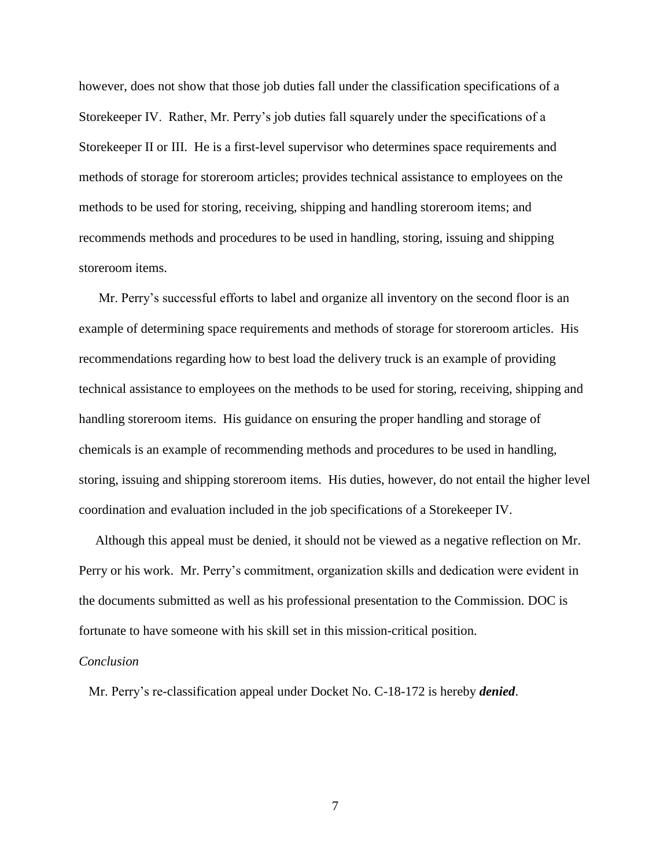however, does not show that those job duties fall under the classification specifications of a Storekeeper IV. Rather, Mr. Perry's job duties fall squarely under the specifications of a Storekeeper II or III. He is a first-level supervisor who determines space requirements and methods of storage for storeroom articles; provides technical assistance to employees on the methods to be used for storing, receiving, shipping and handling storeroom items; and recommends methods and procedures to be used in handling, storing, issuing and shipping storeroom items.

 Mr. Perry's successful efforts to label and organize all inventory on the second floor is an example of determining space requirements and methods of storage for storeroom articles. His recommendations regarding how to best load the delivery truck is an example of providing technical assistance to employees on the methods to be used for storing, receiving, shipping and handling storeroom items. His guidance on ensuring the proper handling and storage of chemicals is an example of recommending methods and procedures to be used in handling, storing, issuing and shipping storeroom items. His duties, however, do not entail the higher level coordination and evaluation included in the job specifications of a Storekeeper IV.

 Although this appeal must be denied, it should not be viewed as a negative reflection on Mr. Perry or his work. Mr. Perry's commitment, organization skills and dedication were evident in the documents submitted as well as his professional presentation to the Commission. DOC is fortunate to have someone with his skill set in this mission-critical position.

#### *Conclusion*

Mr. Perry's re-classification appeal under Docket No. C-18-172 is hereby *denied*.

7